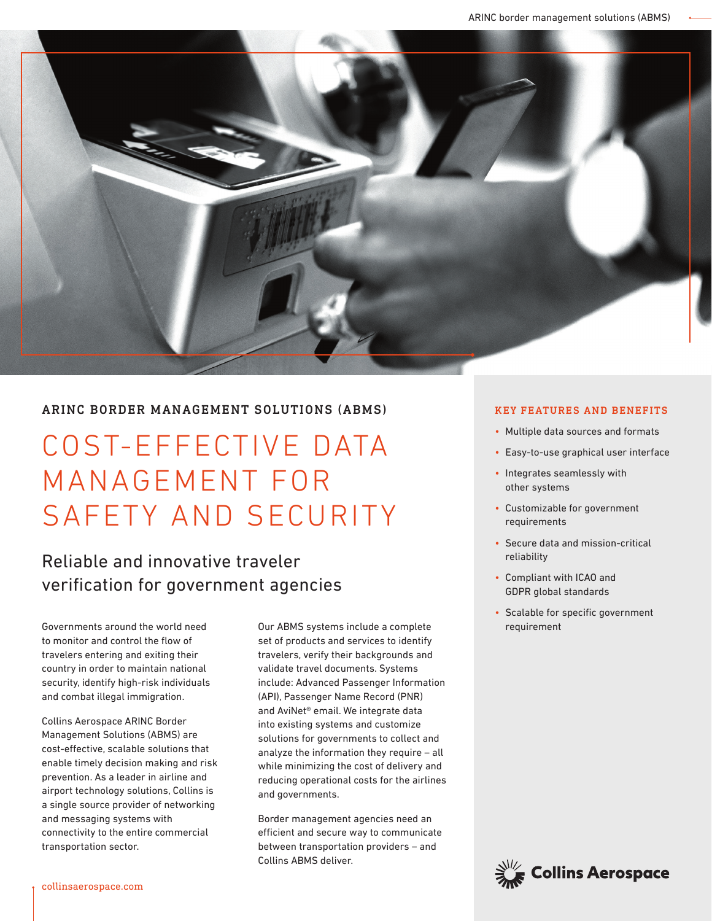

#### ARINC BORDER MANAGEMENT SOLUTIONS (ABMS)

# COST-EFFECTIVE DATA MANAGEMENT FOR SAFETY AND SECURITY

## Reliable and innovative traveler verification for government agencies

to monitor and control the flow of travelers entering and exiting their country in order to maintain national security, identify high-risk individuals and combat illegal immigration.

Collins Aerospace ARINC Border Management Solutions (ABMS) are cost-effective, scalable solutions that enable timely decision making and risk prevention. As a leader in airline and airport technology solutions, Collins is a single source provider of networking and messaging systems with connectivity to the entire commercial transportation sector.

Governments around the world need **reading on the Sour ABMS** systems include a complete requirement set of products and services to identify travelers, verify their backgrounds and validate travel documents. Systems include: Advanced Passenger Information (API), Passenger Name Record (PNR) and AviNet® email. We integrate data into existing systems and customize solutions for governments to collect and analyze the information they require – all while minimizing the cost of delivery and reducing operational costs for the airlines and governments.

> Border management agencies need an efficient and secure way to communicate between transportation providers – and Collins ABMS deliver.

#### KEY FEATURES AND BENEFITS

- Multiple data sources and formats
- Easy-to-use graphical user interface
- Integrates seamlessly with other systems
- Customizable for government requirements
- Secure data and mission-critical reliability
- Compliant with ICAO and GDPR global standards
- Scalable for specific government